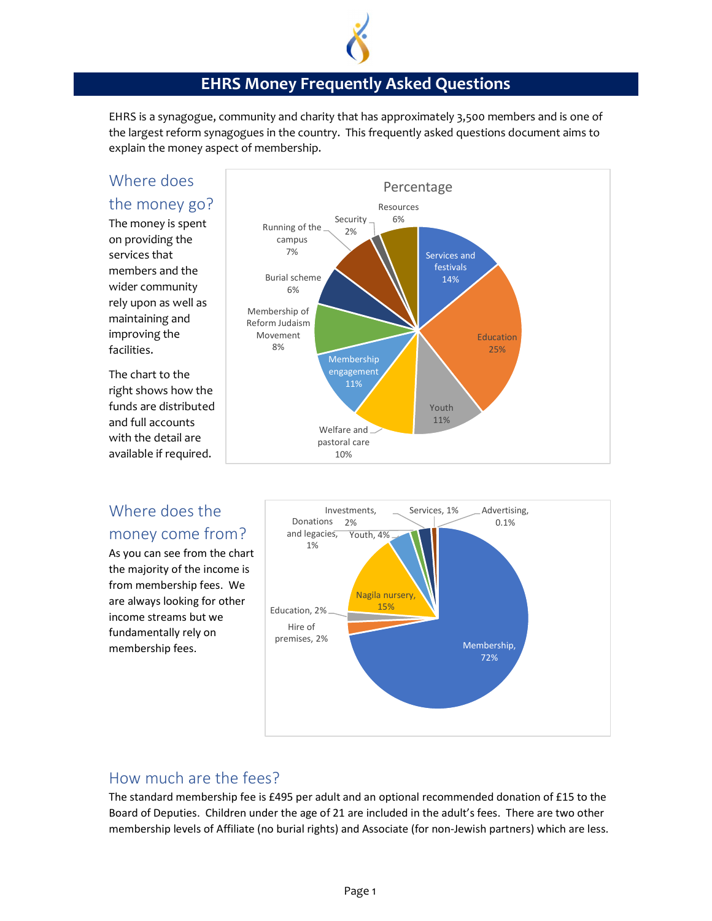

#### EHRS Money Frequently Asked Questions

EHRS is a synagogue, community and charity that has approximately 3,500 members and is one of the largest reform synagogues in the country. This frequently asked questions document aims to explain the money aspect of membership.

# Where does

the money go? The money is spent on providing the services that members and the wider community rely upon as well as maintaining and improving the

facilities.

The chart to the right shows how the funds are distributed and full accounts with the detail are available if required.



## Where does the money come from?  $\Big|$  and legs

As you can see from the chart the majority of the income is from membership fees. We are always looking for other income streams but we fundamentally rely on membership fees.



#### How much are the fees?

The standard membership fee is £495 per adult and an optional recommended donation of £15 to the Board of Deputies. Children under the age of 21 are included in the adult's fees. There are two other membership levels of Affiliate (no burial rights) and Associate (for non-Jewish partners) which are less.